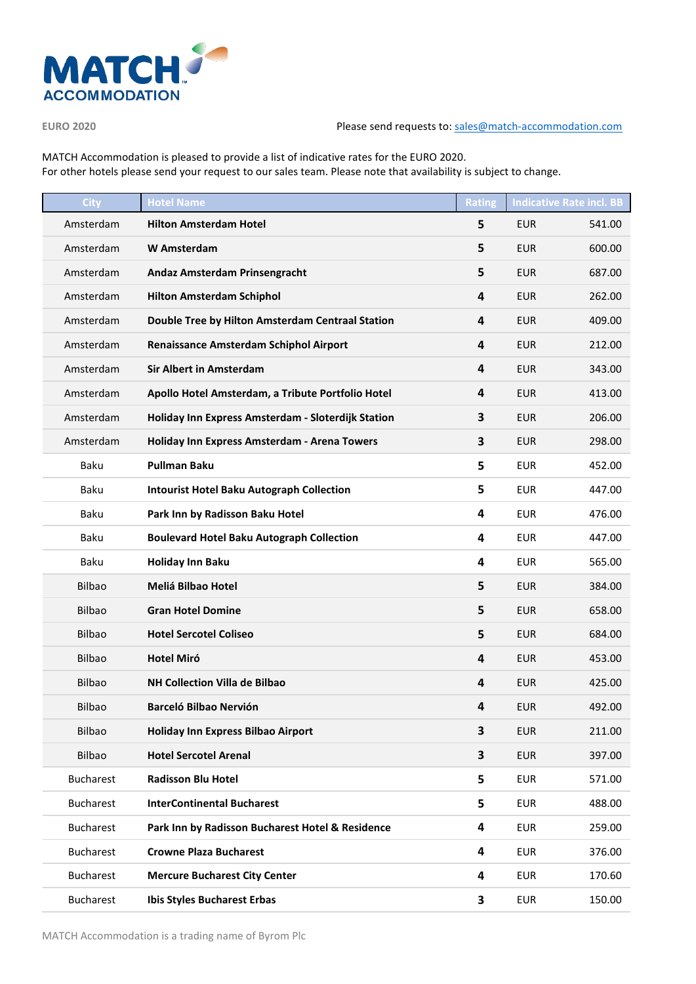

## **EURO 2020** Please send requests to: [sales@match-accommodation.com](mailto:sales@match-accommodation.com)

MATCH Accommodation is pleased to provide a list of indicative rates for the EURO 2020. For other hotels please send your request to our sales team. Please note that availability is subject to change.

| <b>City</b>      | <b>Hotel Name</b>                                  | <b>Rating</b> |            | <b>Indicative Rate incl. BB</b> |
|------------------|----------------------------------------------------|---------------|------------|---------------------------------|
| Amsterdam        | <b>Hilton Amsterdam Hotel</b>                      | 5             | <b>EUR</b> | 541.00                          |
| Amsterdam        | <b>W</b> Amsterdam                                 | 5             | <b>EUR</b> | 600.00                          |
| Amsterdam        | Andaz Amsterdam Prinsengracht                      | 5             | <b>EUR</b> | 687.00                          |
| Amsterdam        | <b>Hilton Amsterdam Schiphol</b>                   | 4             | <b>EUR</b> | 262.00                          |
| Amsterdam        | Double Tree by Hilton Amsterdam Centraal Station   | 4             | <b>EUR</b> | 409.00                          |
| Amsterdam        | <b>Renaissance Amsterdam Schiphol Airport</b>      | 4             | <b>EUR</b> | 212.00                          |
| Amsterdam        | <b>Sir Albert in Amsterdam</b>                     | 4             | <b>EUR</b> | 343.00                          |
| Amsterdam        | Apollo Hotel Amsterdam, a Tribute Portfolio Hotel  | 4             | <b>EUR</b> | 413.00                          |
| Amsterdam        | Holiday Inn Express Amsterdam - Sloterdijk Station | 3             | <b>EUR</b> | 206.00                          |
| Amsterdam        | Holiday Inn Express Amsterdam - Arena Towers       | 3             | <b>EUR</b> | 298.00                          |
| <b>Baku</b>      | <b>Pullman Baku</b>                                | 5             | <b>EUR</b> | 452.00                          |
| Baku             | <b>Intourist Hotel Baku Autograph Collection</b>   | 5             | <b>EUR</b> | 447.00                          |
| Baku             | Park Inn by Radisson Baku Hotel                    | 4             | <b>EUR</b> | 476.00                          |
| Baku             | <b>Boulevard Hotel Baku Autograph Collection</b>   | 4             | <b>EUR</b> | 447.00                          |
| Baku             | <b>Holiday Inn Baku</b>                            | 4             | <b>EUR</b> | 565.00                          |
| <b>Bilbao</b>    | Meliá Bilbao Hotel                                 | 5             | <b>EUR</b> | 384.00                          |
| Bilbao           | <b>Gran Hotel Domine</b>                           | 5             | <b>EUR</b> | 658.00                          |
| <b>Bilbao</b>    | <b>Hotel Sercotel Coliseo</b>                      | 5             | <b>EUR</b> | 684.00                          |
| <b>Bilbao</b>    | <b>Hotel Miró</b>                                  | 4             | <b>EUR</b> | 453.00                          |
| Bilbao           | <b>NH Collection Villa de Bilbao</b>               | 4             | <b>EUR</b> | 425.00                          |
| <b>Bilbao</b>    | <b>Barceló Bilbao Nervión</b>                      | 4             | <b>EUR</b> | 492.00                          |
| Bilbao           | Holiday Inn Express Bilbao Airport                 | 3             | <b>EUR</b> | 211.00                          |
| Bilbao           | <b>Hotel Sercotel Arenal</b>                       | 3             | <b>EUR</b> | 397.00                          |
| <b>Bucharest</b> | <b>Radisson Blu Hotel</b>                          | 5             | <b>EUR</b> | 571.00                          |
| <b>Bucharest</b> | <b>InterContinental Bucharest</b>                  | 5             | <b>EUR</b> | 488.00                          |
| <b>Bucharest</b> | Park Inn by Radisson Bucharest Hotel & Residence   | 4             | <b>EUR</b> | 259.00                          |
| <b>Bucharest</b> | <b>Crowne Plaza Bucharest</b>                      | 4             | <b>EUR</b> | 376.00                          |
| <b>Bucharest</b> | <b>Mercure Bucharest City Center</b>               | 4             | <b>EUR</b> | 170.60                          |
| <b>Bucharest</b> | <b>Ibis Styles Bucharest Erbas</b>                 | 3             | <b>EUR</b> | 150.00                          |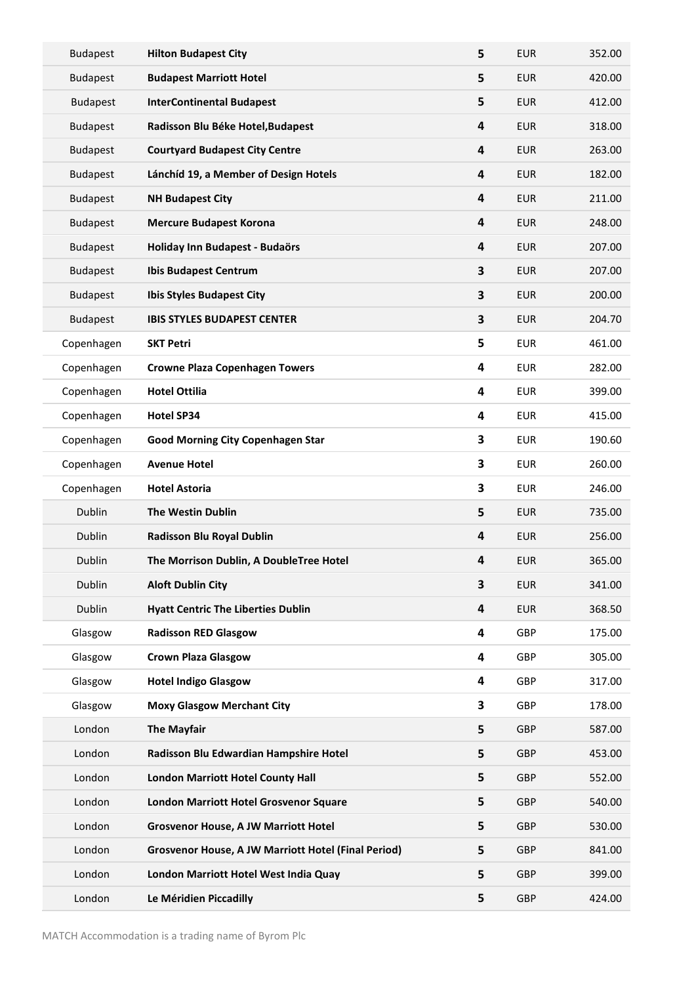| <b>Budapest</b> | <b>Hilton Budapest City</b>                         | 5 | <b>EUR</b> | 352.00 |
|-----------------|-----------------------------------------------------|---|------------|--------|
| <b>Budapest</b> | <b>Budapest Marriott Hotel</b>                      | 5 | <b>EUR</b> | 420.00 |
| <b>Budapest</b> | <b>InterContinental Budapest</b>                    | 5 | <b>EUR</b> | 412.00 |
| <b>Budapest</b> | Radisson Blu Béke Hotel, Budapest                   | 4 | <b>EUR</b> | 318.00 |
| <b>Budapest</b> | <b>Courtyard Budapest City Centre</b>               | 4 | <b>EUR</b> | 263.00 |
| <b>Budapest</b> | Lánchíd 19, a Member of Design Hotels               | 4 | <b>EUR</b> | 182.00 |
| <b>Budapest</b> | <b>NH Budapest City</b>                             | 4 | <b>EUR</b> | 211.00 |
| <b>Budapest</b> | <b>Mercure Budapest Korona</b>                      | 4 | <b>EUR</b> | 248.00 |
| <b>Budapest</b> | Holiday Inn Budapest - Budaörs                      | 4 | <b>EUR</b> | 207.00 |
| <b>Budapest</b> | <b>Ibis Budapest Centrum</b>                        | 3 | <b>EUR</b> | 207.00 |
| <b>Budapest</b> | Ibis Styles Budapest City                           | 3 | <b>EUR</b> | 200.00 |
| <b>Budapest</b> | <b>IBIS STYLES BUDAPEST CENTER</b>                  | 3 | <b>EUR</b> | 204.70 |
| Copenhagen      | <b>SKT Petri</b>                                    | 5 | <b>EUR</b> | 461.00 |
| Copenhagen      | <b>Crowne Plaza Copenhagen Towers</b>               | 4 | <b>EUR</b> | 282.00 |
| Copenhagen      | <b>Hotel Ottilia</b>                                | 4 | <b>EUR</b> | 399.00 |
| Copenhagen      | <b>Hotel SP34</b>                                   | 4 | <b>EUR</b> | 415.00 |
| Copenhagen      | <b>Good Morning City Copenhagen Star</b>            | 3 | <b>EUR</b> | 190.60 |
| Copenhagen      | <b>Avenue Hotel</b>                                 | 3 | <b>EUR</b> | 260.00 |
| Copenhagen      | <b>Hotel Astoria</b>                                | 3 | <b>EUR</b> | 246.00 |
| Dublin          | <b>The Westin Dublin</b>                            | 5 | <b>EUR</b> | 735.00 |
| Dublin          | Radisson Blu Royal Dublin                           | 4 | <b>EUR</b> | 256.00 |
| Dublin          | The Morrison Dublin, A DoubleTree Hotel             | 4 | <b>EUR</b> | 365.00 |
| Dublin          | <b>Aloft Dublin City</b>                            | 3 | <b>EUR</b> | 341.00 |
| Dublin          | <b>Hyatt Centric The Liberties Dublin</b>           | 4 | <b>EUR</b> | 368.50 |
| Glasgow         | <b>Radisson RED Glasgow</b>                         | 4 | GBP        | 175.00 |
| Glasgow         | <b>Crown Plaza Glasgow</b>                          | 4 | <b>GBP</b> | 305.00 |
| Glasgow         | <b>Hotel Indigo Glasgow</b>                         | 4 | GBP        | 317.00 |
| Glasgow         | <b>Moxy Glasgow Merchant City</b>                   | 3 | GBP        | 178.00 |
| London          | <b>The Mayfair</b>                                  | 5 | <b>GBP</b> | 587.00 |
| London          | Radisson Blu Edwardian Hampshire Hotel              | 5 | GBP        | 453.00 |
| London          | <b>London Marriott Hotel County Hall</b>            | 5 | <b>GBP</b> | 552.00 |
| London          | <b>London Marriott Hotel Grosvenor Square</b>       | 5 | <b>GBP</b> | 540.00 |
| London          | <b>Grosvenor House, A JW Marriott Hotel</b>         | 5 | <b>GBP</b> | 530.00 |
| London          | Grosvenor House, A JW Marriott Hotel (Final Period) | 5 | <b>GBP</b> | 841.00 |
| London          | London Marriott Hotel West India Quay               | 5 | <b>GBP</b> | 399.00 |
| London          | Le Méridien Piccadilly                              | 5 | GBP        | 424.00 |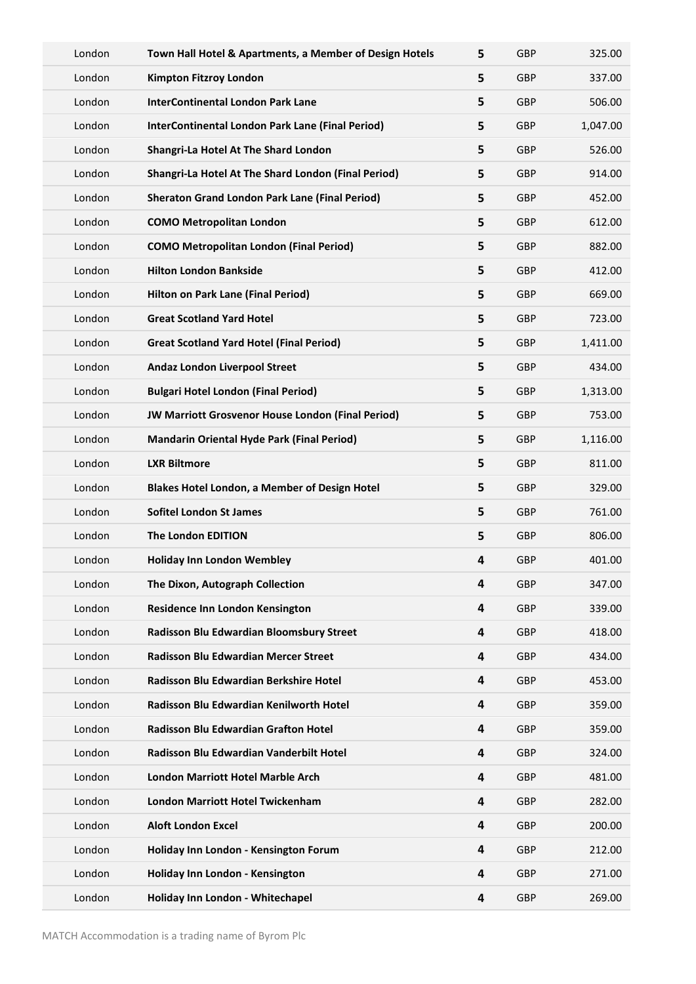| London | Town Hall Hotel & Apartments, a Member of Design Hotels | 5 | <b>GBP</b> | 325.00   |
|--------|---------------------------------------------------------|---|------------|----------|
| London | <b>Kimpton Fitzroy London</b>                           | 5 | GBP        | 337.00   |
| London | <b>InterContinental London Park Lane</b>                | 5 | <b>GBP</b> | 506.00   |
| London | InterContinental London Park Lane (Final Period)        | 5 | <b>GBP</b> | 1,047.00 |
| London | Shangri-La Hotel At The Shard London                    | 5 | <b>GBP</b> | 526.00   |
| London | Shangri-La Hotel At The Shard London (Final Period)     | 5 | <b>GBP</b> | 914.00   |
| London | <b>Sheraton Grand London Park Lane (Final Period)</b>   | 5 | <b>GBP</b> | 452.00   |
| London | <b>COMO Metropolitan London</b>                         | 5 | GBP        | 612.00   |
| London | <b>COMO Metropolitan London (Final Period)</b>          | 5 | GBP        | 882.00   |
| London | <b>Hilton London Bankside</b>                           | 5 | <b>GBP</b> | 412.00   |
| London | Hilton on Park Lane (Final Period)                      | 5 | <b>GBP</b> | 669.00   |
| London | <b>Great Scotland Yard Hotel</b>                        | 5 | <b>GBP</b> | 723.00   |
| London | <b>Great Scotland Yard Hotel (Final Period)</b>         | 5 | <b>GBP</b> | 1,411.00 |
| London | Andaz London Liverpool Street                           | 5 | <b>GBP</b> | 434.00   |
| London | <b>Bulgari Hotel London (Final Period)</b>              | 5 | <b>GBP</b> | 1,313.00 |
| London | JW Marriott Grosvenor House London (Final Period)       | 5 | <b>GBP</b> | 753.00   |
| London | <b>Mandarin Oriental Hyde Park (Final Period)</b>       | 5 | GBP        | 1,116.00 |
| London | <b>LXR Biltmore</b>                                     | 5 | GBP        | 811.00   |
| London | <b>Blakes Hotel London, a Member of Design Hotel</b>    | 5 | <b>GBP</b> | 329.00   |
| London | <b>Sofitel London St James</b>                          | 5 | <b>GBP</b> | 761.00   |
| London | The London EDITION                                      | 5 | <b>GBP</b> | 806.00   |
| London | <b>Holiday Inn London Wembley</b>                       | 4 | <b>GBP</b> | 401.00   |
| London | The Dixon, Autograph Collection                         | 4 | <b>GBP</b> | 347.00   |
| London | Residence Inn London Kensington                         | 4 | <b>GBP</b> | 339.00   |
| London | Radisson Blu Edwardian Bloomsbury Street                | 4 | GBP        | 418.00   |
| London | <b>Radisson Blu Edwardian Mercer Street</b>             | 4 | GBP        | 434.00   |
| London | Radisson Blu Edwardian Berkshire Hotel                  | 4 | GBP        | 453.00   |
| London | Radisson Blu Edwardian Kenilworth Hotel                 | 4 | <b>GBP</b> | 359.00   |
| London | Radisson Blu Edwardian Grafton Hotel                    | 4 | <b>GBP</b> | 359.00   |
| London | Radisson Blu Edwardian Vanderbilt Hotel                 | 4 | GBP        | 324.00   |
| London | <b>London Marriott Hotel Marble Arch</b>                | 4 | <b>GBP</b> | 481.00   |
| London | <b>London Marriott Hotel Twickenham</b>                 | 4 | <b>GBP</b> | 282.00   |
| London | <b>Aloft London Excel</b>                               | 4 | <b>GBP</b> | 200.00   |
| London | Holiday Inn London - Kensington Forum                   | 4 | GBP        | 212.00   |
| London | Holiday Inn London - Kensington                         | 4 | <b>GBP</b> | 271.00   |
| London | Holiday Inn London - Whitechapel                        | 4 | <b>GBP</b> | 269.00   |